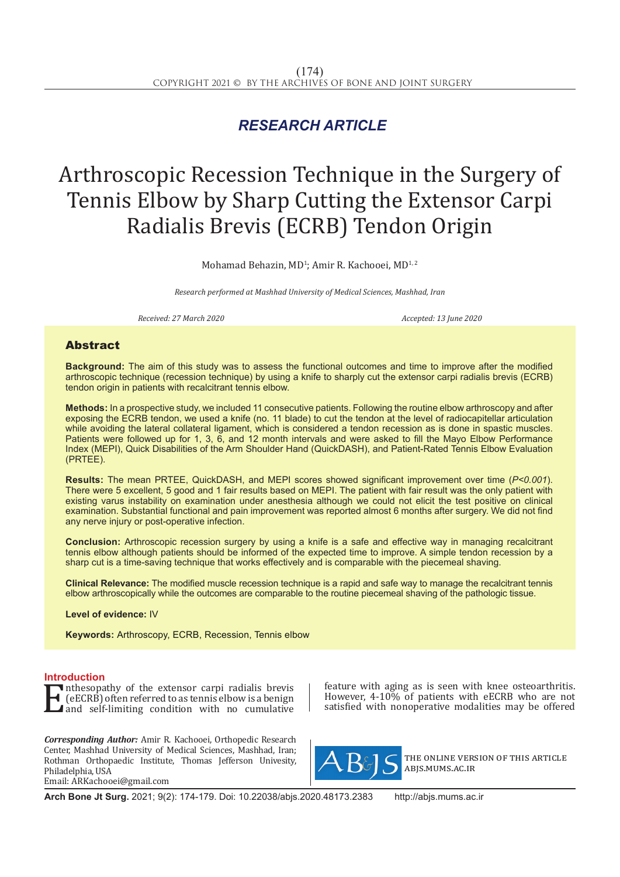## *RESEARCH ARTICLE*

# Arthroscopic Recession Technique in the Surgery of Tennis Elbow by Sharp Cutting the Extensor Carpi Radialis Brevis (ECRB) Tendon Origin

Mohamad Behazin, MD<sup>1</sup>; Amir R. Kachooei, MD<sup>1, 2</sup>

*Research performed at Mashhad University of Medical Sciences, Mashhad, Iran*

*Received: 27 March 2020 Accepted: 13 June 2020*

### Abstract

**Background:** The aim of this study was to assess the functional outcomes and time to improve after the modified arthroscopic technique (recession technique) by using a knife to sharply cut the extensor carpi radialis brevis (ECRB) tendon origin in patients with recalcitrant tennis elbow.

**Methods:** In a prospective study, we included 11 consecutive patients. Following the routine elbow arthroscopy and after exposing the ECRB tendon, we used a knife (no. 11 blade) to cut the tendon at the level of radiocapitellar articulation while avoiding the lateral collateral ligament, which is considered a tendon recession as is done in spastic muscles. Patients were followed up for 1, 3, 6, and 12 month intervals and were asked to fill the Mayo Elbow Performance Index (MEPI), Quick Disabilities of the Arm Shoulder Hand (QuickDASH), and Patient-Rated Tennis Elbow Evaluation (PRTEE).

**Results:** The mean PRTEE, QuickDASH, and MEPI scores showed significant improvement over time (*P<0.001*). There were 5 excellent, 5 good and 1 fair results based on MEPI. The patient with fair result was the only patient with existing varus instability on examination under anesthesia although we could not elicit the test positive on clinical examination. Substantial functional and pain improvement was reported almost 6 months after surgery. We did not find any nerve injury or post-operative infection.

**Conclusion:** Arthroscopic recession surgery by using a knife is a safe and effective way in managing recalcitrant tennis elbow although patients should be informed of the expected time to improve. A simple tendon recession by a sharp cut is a time-saving technique that works effectively and is comparable with the piecemeal shaving.

**Clinical Relevance:** The modified muscle recession technique is a rapid and safe way to manage the recalcitrant tennis elbow arthroscopically while the outcomes are comparable to the routine piecemeal shaving of the pathologic tissue.

**Level of evidence:** IV

**Keywords:** Arthroscopy, ECRB, Recession, Tennis elbow

**Introduction**<br>**T** inthesopathy of the extensor carpi radialis brevis **EXAMPLE INTERNATION IN A THE ENTIRE IS NOTED THE CONSERVANT OF THE AND SET AND SET AND SET AND SET AND SET AND SET AND SET AND SET AND SET AND SET AND SET AND SET AND SET AND SET AND SET AND SET AND SET AND SET AND SET AN** (eECRB) often referred to as tennis elbow is a benign and self-limiting condition with no cumulative

*Corresponding Author:* Amir R. Kachooei, Orthopedic Research Center, Mashhad University of Medical Sciences, Mashhad, Iran; Rothman Orthopaedic Institute, Thomas Jefferson Univesity, Philadelphia, USA Email: ARKachooei@gmail.com

feature with aging as is seen with knee osteoarthritis. However, 4-10% of patients with eECRB who are not satisfied with nonoperative modalities may be offered



the online version of this article abjs.mums.ac.ir

**Arch Bone Jt Surg.** 2021; 9(2): 174-179. Doi: 10.22038/abjs.2020.48173.2383 http://abjs.mums.ac.ir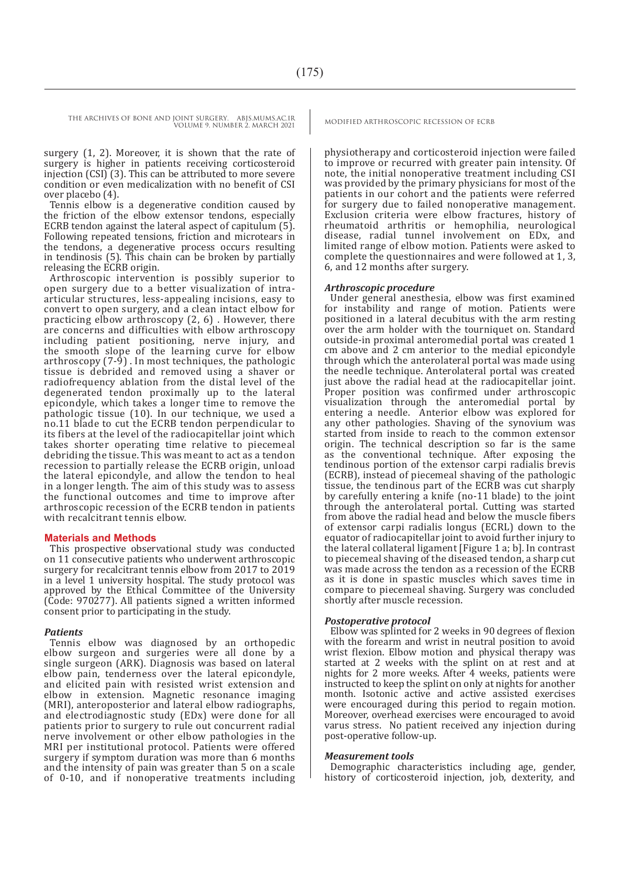surgery (1, 2). Moreover, it is shown that the rate of surgery is higher in patients receiving corticosteroid injection (CSI) (3). This can be attributed to more severe condition or even medicalization with no benefit of CSI over placebo (4).

Tennis elbow is a degenerative condition caused by the friction of the elbow extensor tendons, especially ECRB tendon against the lateral aspect of capitulum (5). Following repeated tensions, friction and microtears in the tendons, a degenerative process occurs resulting in tendinosis (5). This chain can be broken by partially releasing the ECRB origin.

Arthroscopic intervention is possibly superior to open surgery due to a better visualization of intraarticular structures, less-appealing incisions, easy to convert to open surgery, and a clean intact elbow for practicing elbow arthroscopy (2, 6) . However, there are concerns and difficulties with elbow arthroscopy including patient positioning, nerve injury, and the smooth slope of the learning curve for elbow arthroscopy  $(7-9)$ . In most techniques, the pathologic tissue is debrided and removed using a shaver or radiofrequency ablation from the distal level of the degenerated tendon proximally up to the lateral epicondyle, which takes a longer time to remove the pathologic tissue (10). In our technique, we used a no.11 blade to cut the ECRB tendon perpendicular to its fibers at the level of the radiocapitellar joint which takes shorter operating time relative to piecemeal debriding the tissue. This was meant to act as a tendon recession to partially release the ECRB origin, unload the lateral epicondyle, and allow the tendon to heal in a longer length. The aim of this study was to assess the functional outcomes and time to improve after arthroscopic recession of the ECRB tendon in patients with recalcitrant tennis elbow.

#### **Materials and Methods**

This prospective observational study was conducted on 11 consecutive patients who underwent arthroscopic surgery for recalcitrant tennis elbow from 2017 to 2019 in a level 1 university hospital. The study protocol was approved by the Ethical Committee of the University (Code: 970277). All patients signed a written informed consent prior to participating in the study.

#### *Patients*

Tennis elbow was diagnosed by an orthopedic elbow surgeon and surgeries were all done by a single surgeon (ARK). Diagnosis was based on lateral elbow pain, tenderness over the lateral epicondyle, and elicited pain with resisted wrist extension and elbow in extension. Magnetic resonance imaging (MRI), anteroposterior and lateral elbow radiographs, and electrodiagnostic study (EDx) were done for all patients prior to surgery to rule out concurrent radial nerve involvement or other elbow pathologies in the MRI per institutional protocol. Patients were offered surgery if symptom duration was more than 6 months and the intensity of pain was greater than 5 on a scale of 0-10, and if nonoperative treatments including

physiotherapy and corticosteroid injection were failed to improve or recurred with greater pain intensity. Of note, the initial nonoperative treatment including CSI was provided by the primary physicians for most of the patients in our cohort and the patients were referred for surgery due to failed nonoperative management. Exclusion criteria were elbow fractures, history of rheumatoid arthritis or hemophilia, neurological disease, radial tunnel involvement on EDx, and limited range of elbow motion. Patients were asked to complete the questionnaires and were followed at 1, 3, 6, and 12 months after surgery.

#### *Arthroscopic procedure*

Under general anesthesia, elbow was first examined for instability and range of motion. Patients were positioned in a lateral decubitus with the arm resting over the arm holder with the tourniquet on. Standard outside-in proximal anteromedial portal was created 1 cm above and 2 cm anterior to the medial epicondyle through which the anterolateral portal was made using the needle technique. Anterolateral portal was created just above the radial head at the radiocapitellar joint. Proper position was confirmed under arthroscopic visualization through the anteromedial portal by entering a needle. Anterior elbow was explored for any other pathologies. Shaving of the synovium was started from inside to reach to the common extensor origin. The technical description so far is the same as the conventional technique. After exposing the tendinous portion of the extensor carpi radialis brevis (ECRB), instead of piecemeal shaving of the pathologic tissue, the tendinous part of the ECRB was cut sharply by carefully entering a knife (no-11 blade) to the joint through the anterolateral portal. Cutting was started from above the radial head and below the muscle fibers of extensor carpi radialis longus (ECRL) down to the equator of radiocapitellar joint to avoid further injury to the lateral collateral ligament [Figure 1 a; b]. In contrast to piecemeal shaving of the diseased tendon, a sharp cut was made across the tendon as a recession of the ECRB as it is done in spastic muscles which saves time in compare to piecemeal shaving. Surgery was concluded shortly after muscle recession.

#### *Postoperative protocol*

Elbow was splinted for 2 weeks in 90 degrees of flexion with the forearm and wrist in neutral position to avoid wrist flexion. Elbow motion and physical therapy was started at 2 weeks with the splint on at rest and at nights for 2 more weeks. After 4 weeks, patients were instructed to keep the splint on only at nights for another month. Isotonic active and active assisted exercises were encouraged during this period to regain motion. Moreover, overhead exercises were encouraged to avoid varus stress. No patient received any injection during post-operative follow-up.

#### *Measurement tools*

Demographic characteristics including age, gender, history of corticosteroid injection, job, dexterity, and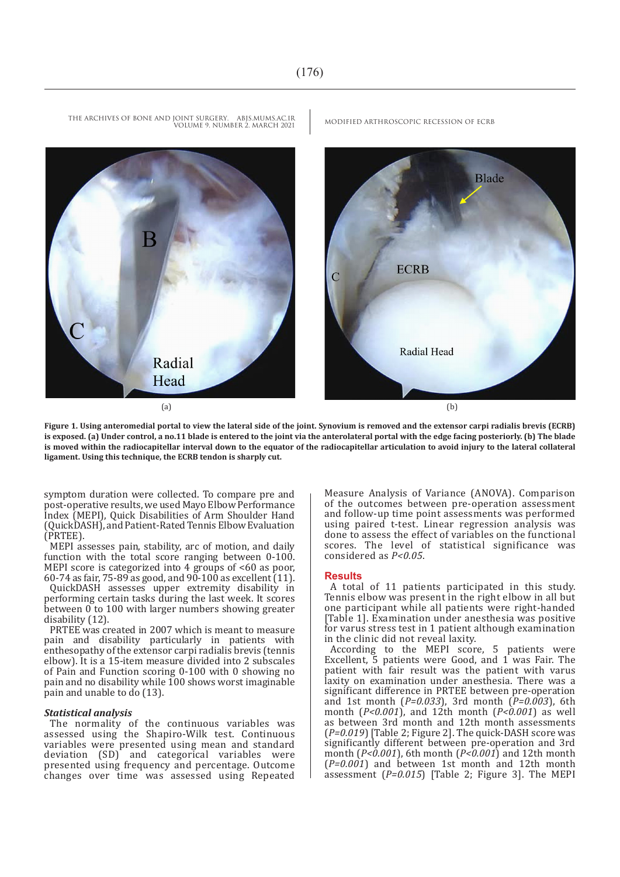

**Figure 1. Using anteromedial portal to view the lateral side of the joint. Synovium is removed and the extensor carpi radialis brevis (ECRB) is exposed. (a) Under control, a no.11 blade is entered to the joint via the anterolateral portal with the edge facing posteriorly. (b) The blade is moved within the radiocapitellar interval down to the equator of the radiocapitellar articulation to avoid injury to the lateral collateral ligament. Using this technique, the ECRB tendon is sharply cut.** 

symptom duration were collected. To compare pre and post-operative results, we used Mayo Elbow Performance Index (MEPI), Quick Disabilities of Arm Shoulder Hand (QuickDASH), and Patient-Rated Tennis Elbow Evaluation (PRTEE).

MEPI assesses pain, stability, arc of motion, and daily function with the total score ranging between 0-100. MEPI score is categorized into 4 groups of  $\lt 60$  as poor, 60-74 as fair, 75-89 as good, and 90-100 as excellent (11).

QuickDASH assesses upper extremity disability in performing certain tasks during the last week. It scores between  $\overline{0}$  to 100 with larger numbers showing greater disability (12).

PRTEE was created in 2007 which is meant to measure pain and disability particularly in patients with enthesopathy of the extensor carpi radialis brevis (tennis elbow). It is a 15-item measure divided into 2 subscales of Pain and Function scoring 0-100 with 0 showing no pain and no disability while 100 shows worst imaginable pain and unable to do (13).

#### *Statistical analysis*

The normality of the continuous variables was assessed using the Shapiro-Wilk test. Continuous variables were presented using mean and standard deviation (SD) and categorical variables were presented using frequency and percentage. Outcome changes over time was assessed using Repeated Measure Analysis of Variance (ANOVA). Comparison of the outcomes between pre-operation assessment and follow-up time point assessments was performed using paired t-test. Linear regression analysis was done to assess the effect of variables on the functional scores. The level of statistical significance was considered as *P<0.05*.

#### **Results**

A total of 11 patients participated in this study. Tennis elbow was present in the right elbow in all but one participant while all patients were right-handed [Table 1]. Examination under anesthesia was positive for varus stress test in 1 patient although examination in the clinic did not reveal laxity.

According to the MEPI score, 5 patients were Excellent, 5 patients were Good, and 1 was Fair. The patient with fair result was the patient with varus laxity on examination under anesthesia. There was a significant difference in PRTEE between pre-operation and 1st month (*P=0.033*), 3rd month (*P=0.003*), 6th month (*P<0.001*), and 12th month (*P<0.001*) as well as between 3rd month and 12th month assessments (*P=0.019*) [Table 2; Figure 2]. The quick-DASH score was significantly different between pre-operation and 3rd month (*P<0.001*), 6th month (*P<0.001*) and 12th month (*P=0.001*) and between 1st month and 12th month assessment (*P=0.015*) [Table 2; Figure 3]. The MEPI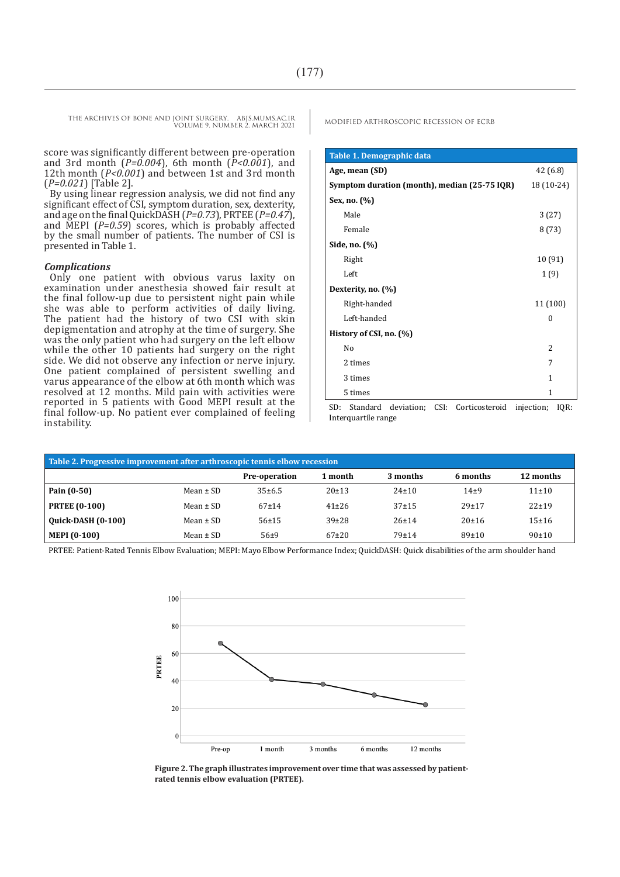score was significantly different between pre-operation and 3rd month (*P=0.004*), 6th month (*P<0.001*), and 12th month (*P<0.001*) and between 1st and 3rd month (*P=0.021*) [Table 2].

By using linear regression analysis, we did not find any significant effect of CSI, symptom duration, sex, dexterity, and age on the final QuickDASH (*P=0.73*), PRTEE (*P=0.47*), and MEPI (*P=0.59*) scores, which is probably affected by the small number of patients. The number of CSI is presented in Table 1.

#### *Complications*

Only one patient with obvious varus laxity on examination under anesthesia showed fair result at the final follow-up due to persistent night pain while she was able to perform activities of daily living. The patient had the history of two CSI with skin depigmentation and atrophy at the time of surgery. She was the only patient who had surgery on the left elbow while the other 10 patients had surgery on the right side. We did not observe any infection or nerve injury. One patient complained of persistent swelling and varus appearance of the elbow at 6th month which was resolved at 12 months. Mild pain with activities were reported in 5 patients with Good MEPI result at the final follow-up. No patient ever complained of feeling instability.

| Table 1. Demographic data                    |                |
|----------------------------------------------|----------------|
| Age, mean (SD)                               | 42 (6.8)       |
| Symptom duration (month), median (25-75 IQR) | 18 (10-24)     |
| Sex, no. (%)                                 |                |
| Male                                         | 3(27)          |
| Female                                       | 8(73)          |
| Side, no. (%)                                |                |
| Right                                        | 10 (91)        |
| Left                                         | 1(9)           |
| Dexterity, no. (%)                           |                |
| Right-handed                                 | 11 (100)       |
| Left-handed                                  | $\Omega$       |
| History of CSI, no. (%)                      |                |
| No                                           | $\overline{c}$ |
| 2 times                                      | 7              |
| 3 times                                      | 1              |
| 5 times                                      | 1              |

SD: Standard deviation; CSI: Corticosteroid injection; IQR: Interquartile range

| Table 2. Progressive improvement after arthroscopic tennis elbow recession |               |                      |           |             |           |            |  |
|----------------------------------------------------------------------------|---------------|----------------------|-----------|-------------|-----------|------------|--|
|                                                                            |               | <b>Pre-operation</b> | 1 month   | 3 months    | 6 months  | 12 months  |  |
| Pain (0-50)                                                                | Mean $\pm$ SD | 35±6.5               | 20±13     | $24 \pm 10$ | $14+9$    | $11\pm 10$ |  |
| <b>PRTEE (0-100)</b>                                                       | Mean $\pm$ SD | $67+14$              | $41\pm26$ | $37+15$     | $29 + 17$ | $22 + 19$  |  |
| <b>Quick-DASH (0-100)</b>                                                  | Mean $\pm$ SD | 56±15                | $39\pm28$ | $26 + 14$   | $20+16$   | $15 + 16$  |  |
| <b>MEPI (0-100)</b>                                                        | Mean $\pm$ SD | $56+9$               | $67+20$   | $79 + 14$   | 89±10     | 90±10      |  |

PRTEE: Patient-Rated Tennis Elbow Evaluation; MEPI: Mayo Elbow Performance Index; QuickDASH: Quick disabilities of the arm shoulder hand



**Figure 2. The graph illustrates improvement over time that was assessed by patientrated tennis elbow evaluation (PRTEE).**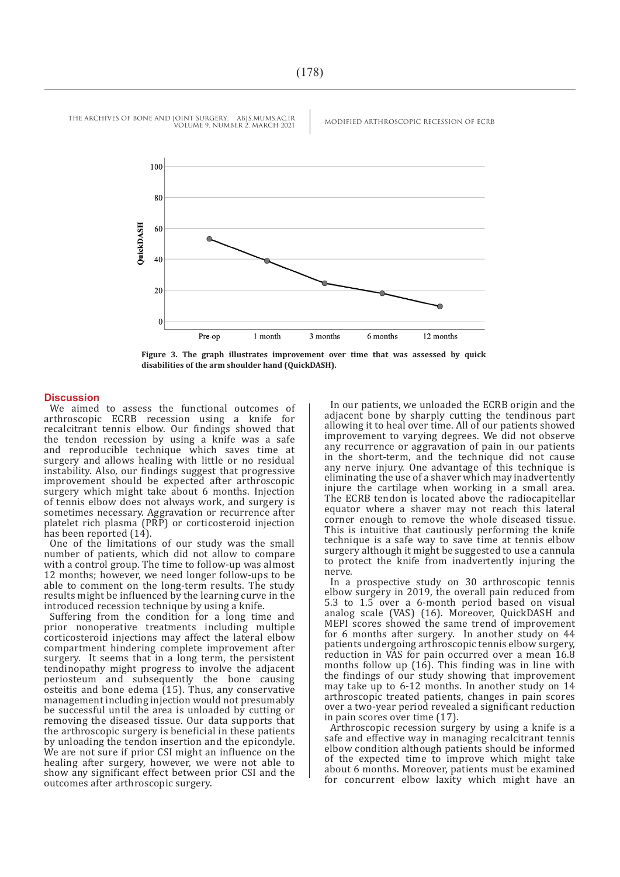

**Figure 3. The graph illustrates improvement over time that was assessed by quick disabilities of the arm shoulder hand (QuickDASH).**

#### **Discussion**

We aimed to assess the functional outcomes of arthroscopic ECRB recession using a knife for recalcitrant tennis elbow. Our findings showed that the tendon recession by using a knife was a safe and reproducible technique which saves time at surgery and allows healing with little or no residual instability. Also, our findings suggest that progressive improvement should be expected after arthroscopic surgery which might take about 6 months. Injection of tennis elbow does not always work, and surgery is sometimes necessary. Aggravation or recurrence after platelet rich plasma (PRP) or corticosteroid injection has been reported (14).

One of the limitations of our study was the small number of patients, which did not allow to compare with a control group. The time to follow-up was almost 12 months; however, we need longer follow-ups to be able to comment on the long-term results. The study results might be influenced by the learning curve in the introduced recession technique by using a knife.

Suffering from the condition for a long time and prior nonoperative treatments including multiple corticosteroid injections may affect the lateral elbow compartment hindering complete improvement after surgery. It seems that in a long term, the persistent tendinopathy might progress to involve the adjacent periosteum and subsequently the bone causing osteitis and bone edema (15). Thus, any conservative management including injection would not presumably be successful until the area is unloaded by cutting or removing the diseased tissue. Our data supports that the arthroscopic surgery is beneficial in these patients by unloading the tendon insertion and the epicondyle. We are not sure if prior CSI might an influence on the healing after surgery, however, we were not able to show any significant effect between prior CSI and the outcomes after arthroscopic surgery.

In our patients, we unloaded the ECRB origin and the adjacent bone by sharply cutting the tendinous part allowing it to heal over time. All of our patients showed improvement to varying degrees. We did not observe any recurrence or aggravation of pain in our patients in the short-term, and the technique did not cause any nerve injury. One advantage of this technique is eliminating the use of a shaver which may inadvertently injure the cartilage when working in a small area. The ECRB tendon is located above the radiocapitellar equator where a shaver may not reach this lateral corner enough to remove the whole diseased tissue. This is intuitive that cautiously performing the knife technique is a safe way to save time at tennis elbow surgery although it might be suggested to use a cannula to protect the knife from inadvertently injuring the nerve.

In a prospective study on 30 arthroscopic tennis elbow surgery in 2019, the overall pain reduced from 5.3 to 1.5 over a 6-month period based on visual analog scale (VAS) (16). Moreover, QuickDASH and MEPI scores showed the same trend of improvement for 6 months after surgery. In another study on 44 patients undergoing arthroscopic tennis elbow surgery, reduction in VAS for pain occurred over a mean 16.8 months follow up  $(16)$ . This finding was in line with the findings of our study showing that improvement may take up to 6-12 months. In another study on 14 arthroscopic treated patients, changes in pain scores over a two-year period revealed a significant reduction in pain scores over time (17).

Arthroscopic recession surgery by using a knife is a safe and effective way in managing recalcitrant tennis elbow condition although patients should be informed of the expected time to improve which might take about 6 months. Moreover, patients must be examined for concurrent elbow laxity which might have an